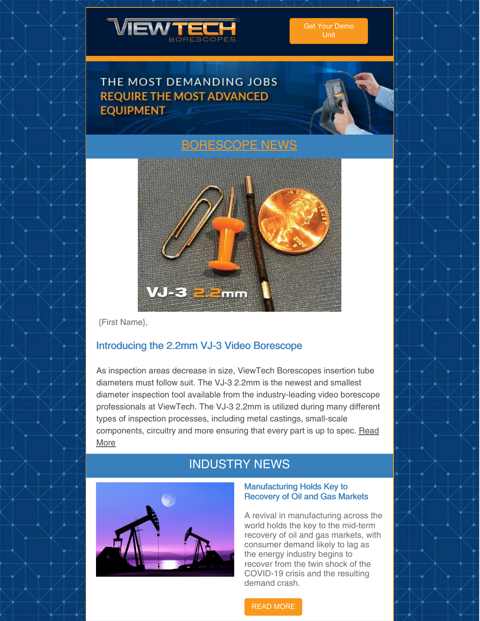

## THE MOST DEMANDING JOBS **REQUIRE THE MOST ADVANCED EQUIPMENT**



# NEWS



{First Name},

### Introducing the 2.2mm VJ-3 Video Borescope

As inspection areas decrease in size, ViewTech Borescopes insertion tube diameters must follow suit. The VJ-3 2.2mm is the newest and smallest diameter inspection tool available from the industry-leading video borescope professionals at ViewTech. The VJ-3 2.2mm is utilized during many different types of inspection processes, including metal castings, small-scale [components,](https://www.viewtech.com/viewtech-borescopes-announces-vj-3-2-2-millimeter-mechanical-articulating-video-borescope/?utm_source=newsletter&utm_medium=email&utm_campaign=newsletter0620) circuitry and more ensuring that every part is up to spec. Read More

# INDUSTRY NEWS



#### Manufacturing Holds Key to Recovery of Oil and Gas Markets

A revival in manufacturing across the world holds the key to the mid-term recovery of oil and gas markets, with consumer demand likely to lag as the energy industry begins to recover from the twin shock of the COVID-19 crisis and the resulting demand crash.

### READ [MORE](https://compressortech2.com/manufacturing-holds-key-to-recovery-of-oil-and-gas-markets-adipec-energy-dialogue/)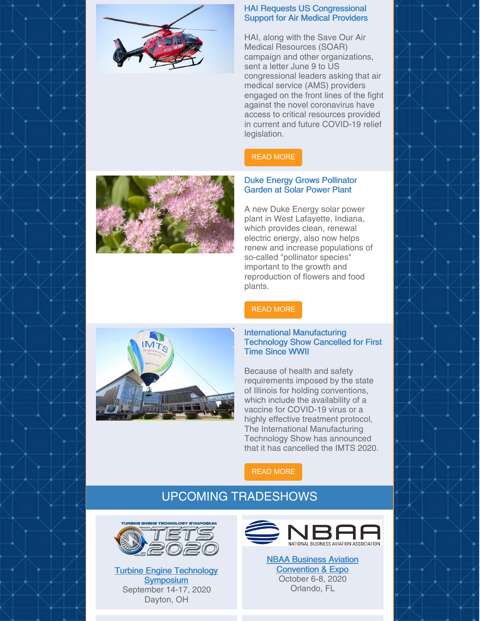

### HAI Requests US Congressional Support for Air Medical Providers

HAI, along with the Save Our Air Medical Resources (SOAR) campaign and other organizations, sent a letter June 9 to US congressional leaders asking that air medical service (AMS) providers engaged on the front lines of the fight against the novel coronavirus have access to critical resources provided in current and future COVID-19 relief legislation.

### READ [MORE](https://www.rotor.org/publications/rotor-daily/rotor-daily-article?ArtMID=1482&ArticleID=6810)

### Duke Energy Grows Pollinator Garden at Solar Power Plant

A new Duke Energy solar power plant in West Lafayette, Indiana, which provides clean, renewal electric energy, also now helps renew and increase populations of so-called "pollinator species" important to the growth and reproduction of flowers and food plants.

### READ [MORE](https://www.tdworld.com/vegetation-management/article/21134185/duke-energy-grows-pollinator-garden-at-solar-power-plant)

#### International Manufacturing Technology Show Cancelled for First Time Since WWII

Because of health and safety requirements imposed by the state of Illinois for holding conventions, which include the availability of a vaccine for COVID-19 virus or a highly effective treatment protocol, The International Manufacturing Technology Show has announced that it has cancelled the IMTS 2020.

### READ [MORE](https://www.qualitymag.com/articles/96112-international-manufacturing-technology-show-cancelled-for-first-time-since-wwii)

## UPCOMING TRADESHOWS



Turbine Engine Technology **[Symposium](https://www.viewtech.com/about-us/tradeshows/turbine-engine-technology-symposium-tets-2020/?utm_source=newsletter&utm_medium=email&utm_campaign=newsletter0620)** September 14-17, 2020 Dayton, OH



NBAA Business Aviation [Convention](https://www.viewtech.com/about-us/tradeshows/2020-nbaa-business-aviation-convention-exhibition-nbaa-bace/?utm_source=newsletter&utm_medium=email&utm_campaign=newsletter0620) & Expo October 6-8, 2020 Orlando, FL